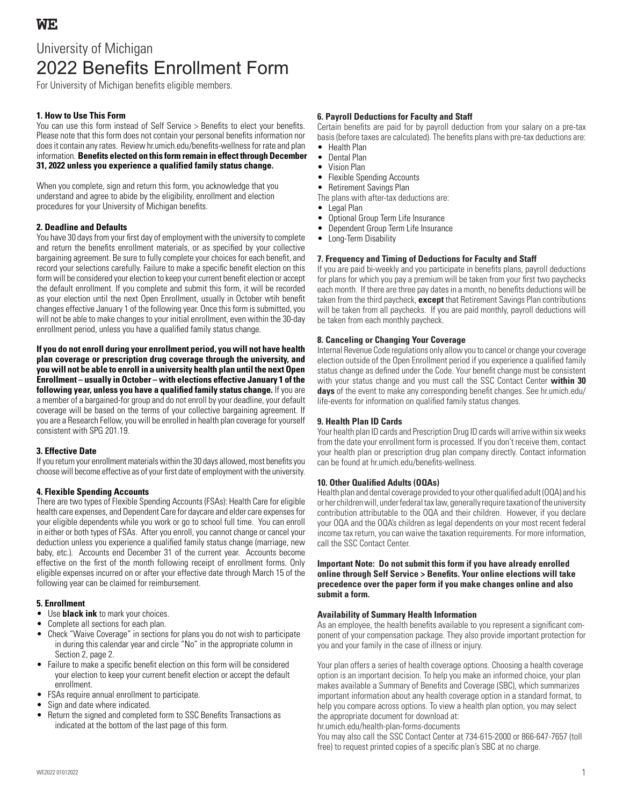# University of Michigan 2022 Benefits Enrollment Form

For University of Michigan benefits eligible members.

## **1. How to Use This Form**

You can use this form instead of Self Service > Benefits to elect your benefits. Please note that this form does not contain your personal benefits information nor does it contain any rates. Review hr.umich.edu/benefits-wellness for rate and plan information. **Benefits elected on this form remain in effect through December 31, 2022 unless you experience a qualified family status change.**

When you complete, sign and return this form, you acknowledge that you understand and agree to abide by the eligibility, enrollment and election procedures for your University of Michigan benefits.

## **2. Deadline and Defaults**

You have 30 days from your first day of employment with the university to complete and return the benefits enrollment materials, or as specified by your collective bargaining agreement. Be sure to fully complete your choices for each benefit, and record your selections carefully. Failure to make a specific benefit election on this form will be considered your election to keep your current benefit election or accept the default enrollment. If you complete and submit this form, it will be recorded as your election until the next Open Enrollment, usually in October wtih benefit changes effective January 1 of the following year. Once this form is submitted, you will not be able to make changes to your initial enrollment, even within the 30-day enrollment period, unless you have a qualified family status change.

**If you do not enroll during your enrollment period, you will not have health plan coverage or prescription drug coverage through the university, and you will not be able to enroll in a university health plan until the next Open Enrollment – usually in October – with elections effective January 1 of the following year, unless you have a qualified family status change.** If you are a member of a bargained-for group and do not enroll by your deadline, your default coverage will be based on the terms of your collective bargaining agreement. If you are a Research Fellow, you will be enrolled in health plan coverage for yourself consistent with SPG 201.19.

#### **3. Effective Date**

If you return your enrollment materials within the 30 days allowed, most benefits you choose will become effective as of your first date of employment with the university.

## **4. Flexible Spending Accounts**

There are two types of Flexible Spending Accounts (FSAs): Health Care for eligible health care expenses, and Dependent Care for daycare and elder care expenses for your eligible dependents while you work or go to school full time. You can enroll in either or both types of FSAs. After you enroll, you cannot change or cancel your deduction unless you experience a qualified family status change (marriage, new baby, etc.). Accounts end December 31 of the current year. Accounts become effective on the first of the month following receipt of enrollment forms. Only eligible expenses incurred on or after your effective date through March 15 of the following year can be claimed for reimbursement.

## **5. Enrollment**

- Use **black ink** to mark your choices.
- Complete all sections for each plan.
- Check "Waive Coverage" in sections for plans you do not wish to participate in during this calendar year and circle "No" in the appropriate column in Section 2, page 2.
- Failure to make a specific benefit election on this form will be considered your election to keep your current benefit election or accept the default enrollment.
- FSAs require annual enrollment to participate.
- Sign and date where indicated.
- Return the signed and completed form to SSC Benefits Transactions as indicated at the bottom of the last page of this form.

### **6. Payroll Deductions for Faculty and Staff**

Certain benefits are paid for by payroll deduction from your salary on a pre-tax basis (before taxes are calculated). The benefits plans with pre-tax deductions are:

- Health Plan
- Dental Plan
- Vision Plan
- Flexible Spending Accounts
- Retirement Savings Plan
- The plans with after-tax deductions are:
- Legal Plan
- Optional Group Term Life Insurance • Dependent Group Term Life Insurance
- 
- Long-Term Disability

#### **7. Frequency and Timing of Deductions for Faculty and Staff**

If you are paid bi-weekly and you participate in benefits plans, payroll deductions for plans for which you pay a premium will be taken from your first two paychecks each month. If there are three pay dates in a month, no benefits deductions will be taken from the third paycheck, **except** that Retirement Savings Plan contributions will be taken from all paychecks. If you are paid monthly, payroll deductions will be taken from each monthly paycheck.

### **8. Canceling or Changing Your Coverage**

Internal Revenue Code regulations only allow you to cancel or change your coverage election outside of the Open Enrollment period if you experience a qualified family status change as defined under the Code. Your benefit change must be consistent with your status change and you must call the SSC Contact Center **within 30 days** of the event to make any corresponding benefit changes. See hr.umich.edu/ life-events for information on qualified family status changes.

#### **9. Health Plan ID Cards**

Your health plan ID cards and Prescription Drug ID cards will arrive within six weeks from the date your enrollment form is processed. If you don't receive them, contact your health plan or prescription drug plan company directly. Contact information can be found at hr.umich.edu/benefits-wellness.

#### **10. Other Qualified Adults (OQAs)**

Health plan and dental coverage provided to your other qualified adult (OQA) and his or her children will, under federal tax law, generally require taxation of the university contribution attributable to the OQA and their children. However, if you declare your OQA and the OQA's children as legal dependents on your most recent federal income tax return, you can waive the taxation requirements. For more information, call the SSC Contact Center.

#### **Important Note: Do not submit this form if you have already enrolled online through Self Service > Benefits. Your online elections will take precedence over the paper form if you make changes online and also submit a form.**

#### **Availability of Summary Health Information**

As an employee, the health benefits available to you represent a significant component of your compensation package. They also provide important protection for you and your family in the case of illness or injury.

Your plan offers a series of health coverage options. Choosing a health coverage option is an important decision. To help you make an informed choice, your plan makes available a Summary of Benefits and Coverage (SBC), which summarizes important information about any health coverage option in a standard format, to help you compare across options. To view a health plan option, you may select the appropriate document for download at:

hr.umich.edu/health-plan-forms-documents

You may also call the SSC Contact Center at 734-615-2000 or 866-647-7657 (toll free) to request printed copies of a specific plan's SBC at no charge.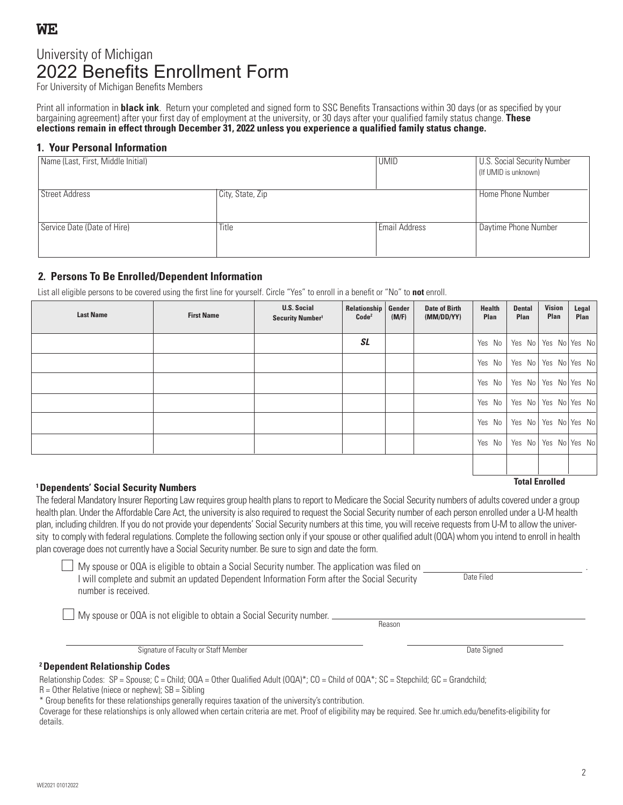WE2021 01012022

# University of Michigan 2022 Benefits Enrollment Form

For University of Michigan Benefits Members

Print all information in **black ink**. Return your completed and signed form to SSC Benefits Transactions within 30 days (or as specified by your bargaining agreement) after your first day of employment at the university, or 30 days after your qualified family status change. **These elections remain in effect through December 31, 2022 unless you experience a qualified family status change.**

## **1. Your Personal Information**

| Name (Last, First, Middle Initial) |                  | <b>UMID</b>          | <b>U.S. Social Security Number</b><br>(If UMID is unknown) |
|------------------------------------|------------------|----------------------|------------------------------------------------------------|
| <b>Street Address</b>              | City, State, Zip |                      | Home Phone Number                                          |
| Service Date (Date of Hire)        | Title            | <b>Email Address</b> | Daytime Phone Number                                       |

## **2. Persons To Be Enrolled/Dependent Information**

List all eligible persons to be covered using the first line for yourself. Circle "Yes" to enroll in a benefit or "No" to **not** enroll.

| <b>Last Name</b> | <b>First Name</b> | <b>U.S. Social</b><br>Security Number <sup>1</sup> | Relationship<br>Code <sup>2</sup> | Gender<br>(M/F) | <b>Date of Birth</b><br>(MM/DD/YY) | <b>Health</b><br>Plan | <b>Dental</b><br>Plan | <b>Vision</b><br>Plan | Legal<br>Plan            |
|------------------|-------------------|----------------------------------------------------|-----------------------------------|-----------------|------------------------------------|-----------------------|-----------------------|-----------------------|--------------------------|
|                  |                   |                                                    | <b>SL</b>                         |                 |                                    | Yes No                |                       |                       | Yes No Yes No Yes No     |
|                  |                   |                                                    |                                   |                 |                                    | Yes No                |                       |                       | Yes No Yes No Yes No     |
|                  |                   |                                                    |                                   |                 |                                    | Yes No                |                       |                       | Yes No   Yes No   Yes No |
|                  |                   |                                                    |                                   |                 |                                    | Yes No                |                       |                       | Yes No   Yes No   Yes No |
|                  |                   |                                                    |                                   |                 |                                    | Yes No                |                       |                       | Yes No Yes No Yes No     |
|                  |                   |                                                    |                                   |                 |                                    | Yes No                | Yes No                |                       | Yes No Yes No            |
|                  |                   |                                                    |                                   |                 |                                    |                       |                       |                       |                          |

# **Total Enrolled 1 Dependents' Social Security Numbers**

The federal Mandatory Insurer Reporting Law requires group health plans to report to Medicare the Social Security numbers of adults covered under a group health plan. Under the Affordable Care Act, the university is also required to request the Social Security number of each person enrolled under a U-M health plan, including children. If you do not provide your dependents' Social Security numbers at this time, you will receive requests from U-M to allow the university to comply with federal regulations. Complete the following section only if your spouse or other qualified adult (OQA) whom you intend to enroll in health plan coverage does not currently have a Social Security number. Be sure to sign and date the form.

 $\Box$  My spouse or OQA is eligible to obtain a Social Security number. The application was filed on I will complete and submit an updated Dependent Information Form after the Social Security number is received.

My spouse or OQA is not eligible to obtain a Social Security number.

Signature of Faculty or Staff Member Date Signed Contact According to the Signed Date Signed Date Signed

## **<sup>2</sup>Dependent Relationship Codes**

Relationship Codes: SP = Spouse; C = Child; OQA = Other Qualified Adult (OQA)\*; CO = Child of OQA\*; SC = Stepchild; GC = Grandchild;

 $R =$  Other Relative (niece or nephew);  $SB =$  Sibling

\* Group benefits for these relationships generally requires taxation of the university's contribution.

Coverage for these relationships is only allowed when certain criteria are met. Proof of eligibility may be required. See hr.umich.edu/benefits-eligibility for details.

Reason

Date Filed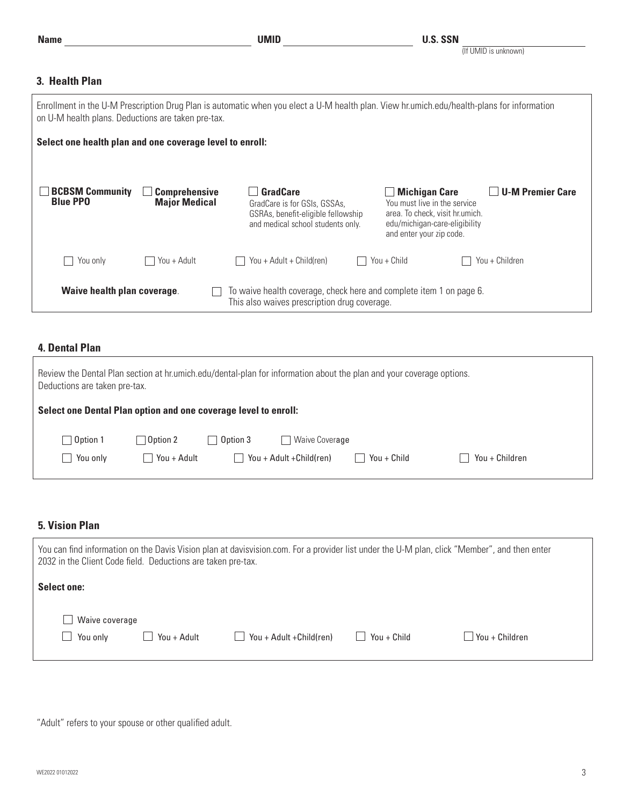## (If UMID is unknown)

## **3. Health Plan**

| Enrollment in the U-M Prescription Drug Plan is automatic when you elect a U-M health plan. View hr.umich.edu/health-plans for information<br>on U-M health plans. Deductions are taken pre-tax. |                                              |                                                                                                                            |                                                                                                                                                                                 |  |  |
|--------------------------------------------------------------------------------------------------------------------------------------------------------------------------------------------------|----------------------------------------------|----------------------------------------------------------------------------------------------------------------------------|---------------------------------------------------------------------------------------------------------------------------------------------------------------------------------|--|--|
| Select one health plan and one coverage level to enroll:                                                                                                                                         |                                              |                                                                                                                            |                                                                                                                                                                                 |  |  |
| <b>BCBSM Community</b><br><b>Blue PPO</b>                                                                                                                                                        | <b>Comprehensive</b><br><b>Major Medical</b> | <b>GradCare</b><br>GradCare is for GSIs, GSSAs,<br>GSRAs, benefit-eligible fellowship<br>and medical school students only. | <b>U-M Premier Care</b><br><b>Michigan Care</b><br>You must live in the service<br>area. To check, visit hr.umich.<br>edu/michigan-care-eligibility<br>and enter your zip code. |  |  |
| You only                                                                                                                                                                                         | You + Adult                                  | You + Adult + Child(ren)                                                                                                   | You + Child<br>You + Children                                                                                                                                                   |  |  |
| Waive health plan coverage.<br>To waive health coverage, check here and complete item 1 on page 6.<br>This also waives prescription drug coverage.                                               |                                              |                                                                                                                            |                                                                                                                                                                                 |  |  |

## **4. Dental Plan**

| Deductions are taken pre-tax.                                   |                                                            |                            |                                                     | Review the Dental Plan section at hr.umich.edu/dental-plan for information about the plan and your coverage options. |                |
|-----------------------------------------------------------------|------------------------------------------------------------|----------------------------|-----------------------------------------------------|----------------------------------------------------------------------------------------------------------------------|----------------|
| Select one Dental Plan option and one coverage level to enroll: |                                                            |                            |                                                     |                                                                                                                      |                |
| $\Box$ Option 1<br>You only<br>$\sim$                           | $\Box$ Option 2<br>You + Adult<br>$\overline{\phantom{0}}$ | Option 3<br>$\blacksquare$ | $\sqcap$ Waive Coverage<br>You + Adult + Child(ren) | You + Child                                                                                                          | You + Children |

## **5. Vision Plan**

| You can find information on the Davis Vision plan at davisvision.com. For a provider list under the U-M plan, click "Member", and then enter<br>2032 in the Client Code field. Deductions are taken pre-tax. |             |                                     |             |                |  |
|--------------------------------------------------------------------------------------------------------------------------------------------------------------------------------------------------------------|-------------|-------------------------------------|-------------|----------------|--|
| <b>Select one:</b>                                                                                                                                                                                           |             |                                     |             |                |  |
| Waive coverage<br>You only<br>$\blacksquare$                                                                                                                                                                 | You + Adult | You + Adult + Child (ren)<br>$\Box$ | You + Child | You + Children |  |

"Adult" refers to your spouse or other qualified adult.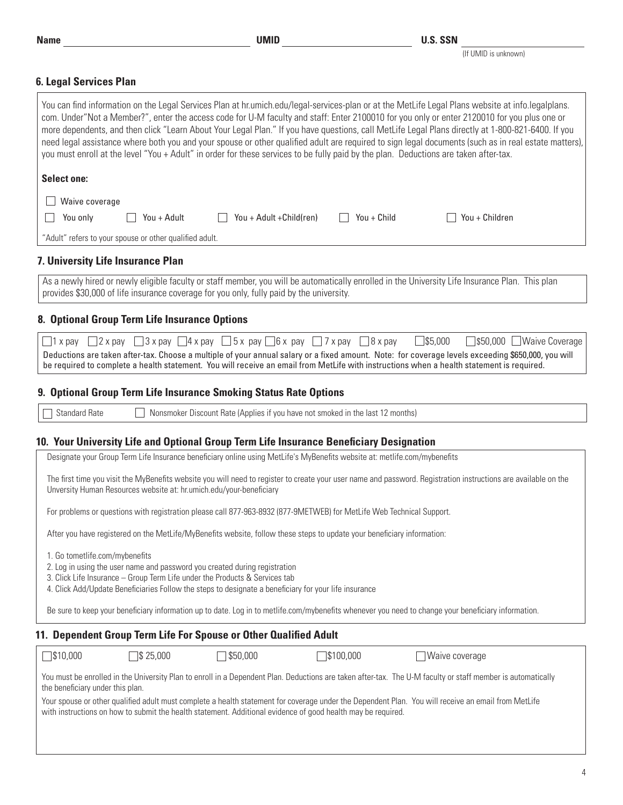(If UMID is unknown)

## **6. Legal Services Plan**

| V. LGYAI JGIVILGƏ I IAII                                                                                                                                                                                                                                                                                                                                                                                                                                                                                                                                                                                                                                                                                                                              |
|-------------------------------------------------------------------------------------------------------------------------------------------------------------------------------------------------------------------------------------------------------------------------------------------------------------------------------------------------------------------------------------------------------------------------------------------------------------------------------------------------------------------------------------------------------------------------------------------------------------------------------------------------------------------------------------------------------------------------------------------------------|
| You can find information on the Legal Services Plan at hr.umich.edu/legal-services-plan or at the MetLife Legal Plans website at info.legalplans.<br>com. Under"Not a Member?", enter the access code for U-M faculty and staff: Enter 2100010 for you only or enter 2120010 for you plus one or<br>more dependents, and then click "Learn About Your Legal Plan." If you have questions, call MetLife Legal Plans directly at 1-800-821-6400. If you<br>need legal assistance where both you and your spouse or other qualified adult are required to sign legal documents (such as in real estate matters),<br>you must enroll at the level "You + Adult" in order for these services to be fully paid by the plan. Deductions are taken after-tax. |
| <b>Select one:</b>                                                                                                                                                                                                                                                                                                                                                                                                                                                                                                                                                                                                                                                                                                                                    |
| Waive coverage                                                                                                                                                                                                                                                                                                                                                                                                                                                                                                                                                                                                                                                                                                                                        |
| You + Adult + Child(ren)<br>You + Child<br>You + Children<br>You only<br>You + Adult                                                                                                                                                                                                                                                                                                                                                                                                                                                                                                                                                                                                                                                                  |
| "Adult" refers to your spouse or other qualified adult.                                                                                                                                                                                                                                                                                                                                                                                                                                                                                                                                                                                                                                                                                               |
|                                                                                                                                                                                                                                                                                                                                                                                                                                                                                                                                                                                                                                                                                                                                                       |
| 7. University Life Insurance Plan                                                                                                                                                                                                                                                                                                                                                                                                                                                                                                                                                                                                                                                                                                                     |
| As a newly hired or newly eligible faculty or staff member, you will be automatically enrolled in the University Life Insurance Plan. This plan<br>provides \$30,000 of life insurance coverage for you only, fully paid by the university.                                                                                                                                                                                                                                                                                                                                                                                                                                                                                                           |
| 8. Optional Group Term Life Insurance Options                                                                                                                                                                                                                                                                                                                                                                                                                                                                                                                                                                                                                                                                                                         |
| $\Box$ 2 x pay $\Box$ 3 x pay $\Box$ 4 x pay $\Box$ 5 x pay $\Box$ 6 x pay $\Box$ 7 x pay<br>$\square$ \$5,000<br>$\Box$ 8 x pay<br>□ \$50,000 Waive Coverage<br>$\Box$ 1 x pay                                                                                                                                                                                                                                                                                                                                                                                                                                                                                                                                                                       |
| Deductions are taken after-tax. Choose a multiple of your annual salary or a fixed amount. Note: for coverage levels exceeding \$650,000, you will<br>be required to complete a health statement. You will receive an email from MetLife with instructions when a health statement is required.                                                                                                                                                                                                                                                                                                                                                                                                                                                       |
|                                                                                                                                                                                                                                                                                                                                                                                                                                                                                                                                                                                                                                                                                                                                                       |
| 9. Optional Group Term Life Insurance Smoking Status Rate Options                                                                                                                                                                                                                                                                                                                                                                                                                                                                                                                                                                                                                                                                                     |
| <b>Standard Rate</b><br>Nonsmoker Discount Rate (Applies if you have not smoked in the last 12 months)                                                                                                                                                                                                                                                                                                                                                                                                                                                                                                                                                                                                                                                |
| 10. Your University Life and Optional Group Term Life Insurance Beneficiary Designation                                                                                                                                                                                                                                                                                                                                                                                                                                                                                                                                                                                                                                                               |
| Designate your Group Term Life Insurance beneficiary online using MetLife's MyBenefits website at: metlife.com/mybenefits                                                                                                                                                                                                                                                                                                                                                                                                                                                                                                                                                                                                                             |
| The first time you visit the MyBenefits website you will need to register to create your user name and password. Registration instructions are available on the<br>Unversity Human Resources website at: hr.umich.edu/your-beneficiary                                                                                                                                                                                                                                                                                                                                                                                                                                                                                                                |
| For problems or questions with registration please call 877-963-8932 (877-9METWEB) for MetLife Web Technical Support.                                                                                                                                                                                                                                                                                                                                                                                                                                                                                                                                                                                                                                 |
| After you have registered on the MetLife/MyBenefits website, follow these steps to update your beneficiary information:                                                                                                                                                                                                                                                                                                                                                                                                                                                                                                                                                                                                                               |
| 1. Go tometlife.com/mybenefits<br>2. Log in using the user name and password you created during registration<br>3. Click Life Insurance - Group Term Life under the Products & Services tab<br>4. Click Add/Update Beneficiaries Follow the steps to designate a beneficiary for your life insurance                                                                                                                                                                                                                                                                                                                                                                                                                                                  |
| Be sure to keep your beneficiary information up to date. Log in to metlife.com/mybenefits whenever you need to change your beneficiary information.                                                                                                                                                                                                                                                                                                                                                                                                                                                                                                                                                                                                   |
| 11. Dependent Group Term Life For Spouse or Other Qualified Adult                                                                                                                                                                                                                                                                                                                                                                                                                                                                                                                                                                                                                                                                                     |
| $\Box$ \$10,000<br>\$50,000<br>$\sqrt{\$}$ 25,000<br>3100,000<br>Waive coverage                                                                                                                                                                                                                                                                                                                                                                                                                                                                                                                                                                                                                                                                       |
| You must be enrolled in the University Plan to enroll in a Dependent Plan. Deductions are taken after-tax. The U-M faculty or staff member is automatically<br>the beneficiary under this plan.                                                                                                                                                                                                                                                                                                                                                                                                                                                                                                                                                       |
| Your spouse or other qualified adult must complete a health statement for coverage under the Dependent Plan. You will receive an email from MetLife<br>with instructions on how to submit the health statement. Additional evidence of good health may be required.                                                                                                                                                                                                                                                                                                                                                                                                                                                                                   |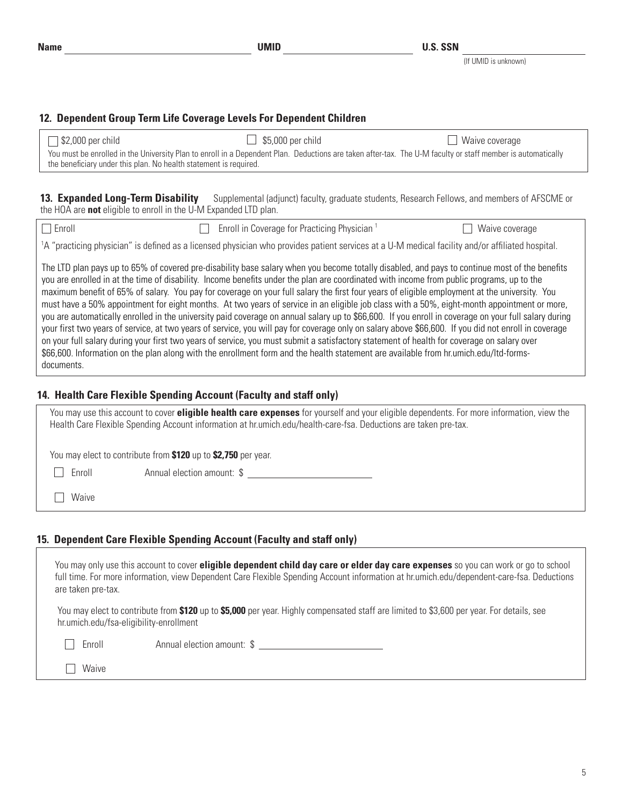## **12. Dependent Group Term Life Coverage Levels For Dependent Children**

| $\Box$ \$2,000 per child                                          | $\Box$ \$5,000 per child                                                                                                                                    | $\Box$ Waive coverage |
|-------------------------------------------------------------------|-------------------------------------------------------------------------------------------------------------------------------------------------------------|-----------------------|
| the beneficiary under this plan. No health statement is required. | You must be enrolled in the University Plan to enroll in a Dependent Plan. Deductions are taken after-tax. The U-M faculty or staff member is automatically |                       |

**13. Expanded Long-Term Disability** Supplemental (adjunct) faculty, graduate students, Research Fellows, and members of AFSCME or the HOA are **not** eligible to enroll in the U-M Expanded LTD plan.

| Enroll | $\Box$ Enroll in Coverage for Practicing Physician $\Box$                                                                                                                                                                                                                                                                                                                                                                                   | $\Box$ Waive coverage |
|--------|---------------------------------------------------------------------------------------------------------------------------------------------------------------------------------------------------------------------------------------------------------------------------------------------------------------------------------------------------------------------------------------------------------------------------------------------|-----------------------|
|        | 1A "practicing physician" is defined as a licensed physician who provides patient services at a U-M medical facility and/or affiliated hospital.                                                                                                                                                                                                                                                                                            |                       |
|        | The LTD plan pays up to 65% of covered pre-disability base salary when you become totally disabled, and pays to continue most of the benefits<br>you are enrolled in at the time of disability. Income benefits under the plan are coordinated with income from public programs, up to the<br>maximum benefit of 65% of salary. You pay for coverage on your full salary the first four years of eligible employment at the university. You |                       |

must have a 50% appointment for eight months. At two years of service in an eligible job class with a 50%, eight-month appointment or more, you are automatically enrolled in the university paid coverage on annual salary up to \$66,600. If you enroll in coverage on your full salary during your first two years of service, at two years of service, you will pay for coverage only on salary above \$66,600. If you did not enroll in coverage on your full salary during your first two years of service, you must submit a satisfactory statement of health for coverage on salary over \$66,600. Information on the plan along with the enrollment form and the health statement are available from hr.umich.edu/ltd-formsdocuments.

## **14. Health Care Flexible Spending Account (Faculty and staff only)**

| You may use this account to cover <b>eligible health care expenses</b> for yourself and your eligible dependents. For more information, view the<br>Health Care Flexible Spending Account information at hr.umich.edu/health-care-fsa. Deductions are taken pre-tax. |  |
|----------------------------------------------------------------------------------------------------------------------------------------------------------------------------------------------------------------------------------------------------------------------|--|
| You may elect to contribute from \$120 up to \$2,750 per year.                                                                                                                                                                                                       |  |
| Annual election amount: \$<br>Enroll                                                                                                                                                                                                                                 |  |
| Waive                                                                                                                                                                                                                                                                |  |

## **15. Dependent Care Flexible Spending Account (Faculty and staff only)**

| You may only use this account to cover eligible dependent child day care or elder day care expenses so you can work or go to school<br>full time. For more information, view Dependent Care Flexible Spending Account information at hr.umich.edu/dependent-care-fsa. Deductions<br>are taken pre-tax. |                            |  |  |  |
|--------------------------------------------------------------------------------------------------------------------------------------------------------------------------------------------------------------------------------------------------------------------------------------------------------|----------------------------|--|--|--|
| You may elect to contribute from \$120 up to \$5,000 per year. Highly compensated staff are limited to \$3,600 per year. For details, see<br>hr.umich.edu/fsa-eligibility-enrollment                                                                                                                   |                            |  |  |  |
| Enroll                                                                                                                                                                                                                                                                                                 | Annual election amount: \$ |  |  |  |
| Waive                                                                                                                                                                                                                                                                                                  |                            |  |  |  |
|                                                                                                                                                                                                                                                                                                        |                            |  |  |  |